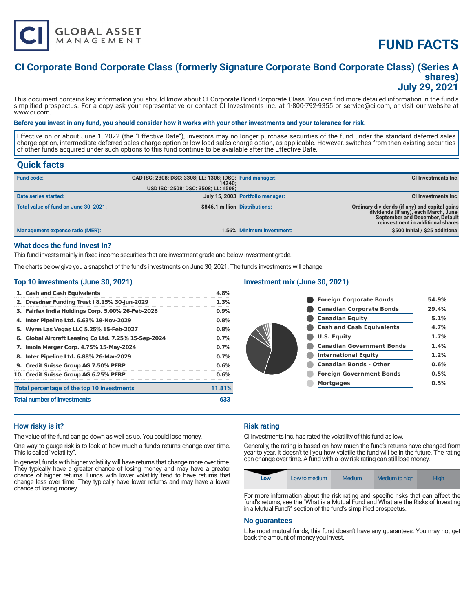

# **FUND FACTS**

### **CI Corporate Bond Corporate Class (formerly Signature Corporate Bond Corporate Class) (Series A shares) July 29, 2021**

This document contains key information you should know about CI Corporate Bond Corporate Class. You can find more detailed information in the fund's simplified prospectus. For a copy ask your representative or contact CI Investments Inc. at 1-800-792-9355 or service@ci.com, or visit our website at www.ci.com.

#### **Before you invest in any fund, you should consider how it works with your other investments and your tolerance for risk.**

Effective on or about June 1, 2022 (the "Effective Date"), investors may no longer purchase securities of the fund under the standard deferred sales charge option, intermediate deferred sales charge option or low load sales charge option, as applicable. However, switches from then-existing securities of other funds acquired under such options to this fund continue to be available after the Effective Date.

### **Quick facts**

| <b>Fund code:</b>                     | CAD ISC: 2308; DSC: 3308; LL: 1308; IDSC: Fund manager:<br>14240:<br>USD ISC: 2508; DSC: 3508; LL: 1508; |                                  | CI Investments Inc.                                                                                                                                                   |
|---------------------------------------|----------------------------------------------------------------------------------------------------------|----------------------------------|-----------------------------------------------------------------------------------------------------------------------------------------------------------------------|
| Date series started:                  |                                                                                                          | July 15, 2003 Portfolio manager: | <b>CI Investments Inc.</b>                                                                                                                                            |
| Total value of fund on June 30, 2021: | \$846.1 million Distributions:                                                                           |                                  | Ordinary dividends (if any) and capital gains<br>dividends (if any), each March, June,<br><b>September and December, Default</b><br>reinvestment in additional shares |
| Management expense ratio (MER):       |                                                                                                          | 1.56% Minimum investment:        | \$500 initial / \$25 additional                                                                                                                                       |

#### **What does the fund invest in?**

This fund invests mainly in fixed income securities that are investment grade and below investment grade.

The charts below give you a snapshot of the fund's investments on June 30, 2021. The fund's investments will change.

#### **Top 10 investments (June 30, 2021)**

| 1. Cash and Cash Equivalents                         | 4.8%    |  |
|------------------------------------------------------|---------|--|
| 2. Dresdner Funding Trust I 8.15% 30-Jun-2029        | 1.3%    |  |
| 3. Fairfax India Holdings Corp. 5.00% 26-Feb-2028    | $0.9\%$ |  |
| 4. Inter Pipeline Ltd. 6.63% 19-Nov-2029             | 0.8%    |  |
| 5. Wynn Las Vegas LLC 5.25% 15-Feb-2027              | 0.8%    |  |
| 6. Global Aircraft Leasing Co Ltd. 7.25% 15-Sep-2024 | $0.7\%$ |  |
| 7. Imola Merger Corp. 4.75% 15-May-2024              | $0.7\%$ |  |
| 8. Inter Pipeline Ltd. 6.88% 26-Mar-2029             | $0.7\%$ |  |
| 9. Credit Suisse Group AG 7.50% PERP                 | 0.6%    |  |
| 10. Credit Suisse Group AG 6.25% PERP                | 0.6%    |  |
| Total percentage of the top 10 investments           | 11.81%  |  |
| <b>Total number of investments</b>                   |         |  |

#### **Investment mix (June 30, 2021)**

| <b>Foreign Corporate Bonds</b>   | 54.9% |
|----------------------------------|-------|
| <b>Canadian Corporate Bonds</b>  | 29.4% |
| <b>Canadian Equity</b>           | 5.1%  |
| <b>Cash and Cash Equivalents</b> | 4.7%  |
| <b>U.S. Equity</b>               | 1.7%  |
| <b>Canadian Government Bonds</b> | 1.4%  |
| <b>International Equity</b>      | 1.2%  |
| <b>Canadian Bonds - Other</b>    | 0.6%  |
| <b>Foreign Government Bonds</b>  | 0.5%  |
| <b>Mortgages</b>                 | 0.5%  |
|                                  |       |

#### **How risky is it?**

The value of the fund can go down as well as up. You could lose money.

One way to gauge risk is to look at how much a fund's returns change over time. This is called "volatility".

In general, funds with higher volatility will have returns that change more over time. They typically have a greater chance of losing money and may have a greater chance of higher returns. Funds with lower volatility tend to have returns that change less over time. They typically have lower returns and may have a lower chance of losing money.

#### **Risk rating**

CI Investments Inc. has rated the volatility of this fund as low.

Generally, the rating is based on how much the fund's returns have changed from year to year. It doesn't tell you how volatile the fund will be in the future. The rating can change over time. A fund with a low risk rating can still lose money.

| Low | Low to medium | Medium | Medium to high | <b>High</b> |
|-----|---------------|--------|----------------|-------------|
|-----|---------------|--------|----------------|-------------|

For more information about the risk rating and specific risks that can affect the fund's returns, see the "What is a Mutual Fund and What are the Risks of Investing in a Mutual Fund?" section of the fund's simplified prospectus.

#### **No guarantees**

Like most mutual funds, this fund doesn't have any guarantees. You may not get back the amount of money you invest.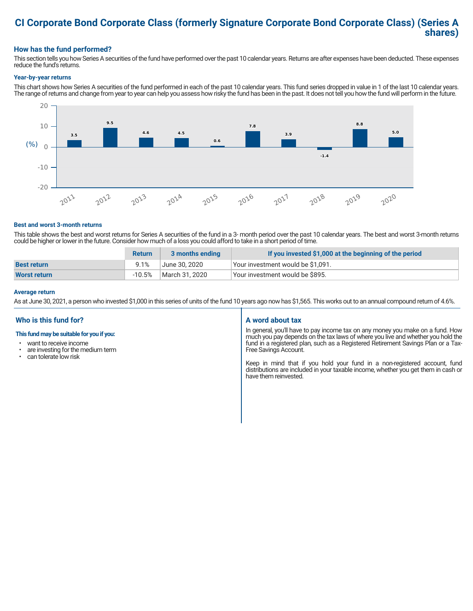### **CI Corporate Bond Corporate Class (formerly Signature Corporate Bond Corporate Class) (Series A shares)**

#### **How has the fund performed?**

This section tells you how Series A securities of the fund have performed over the past 10 calendar years. Returns are after expenses have been deducted. These expenses reduce the fund's returns.

#### **Year-by-year returns**

This chart shows how Series A securities of the fund performed in each of the past 10 calendar years. This fund series dropped in value in 1 of the last 10 calendar years. The range of returns and change from year to year can help you assess how risky the fund has been in the past. It does not tell you how the fund will perform in the future.



#### **Best and worst 3-month returns**

This table shows the best and worst returns for Series A securities of the fund in a 3- month period over the past 10 calendar years. The best and worst 3-month returns could be higher or lower in the future. Consider how much of a loss you could afford to take in a short period of time.

|                     | <b>Return</b> | 3 months ending | If you invested \$1,000 at the beginning of the period |
|---------------------|---------------|-----------------|--------------------------------------------------------|
| <b>Best return</b>  | 9.1%          | June 30. 2020   | l Your investment would be \$1,091.                    |
| <b>Worst return</b> | $-10.5%$      | March 31, 2020  | Your investment would be \$895.                        |

#### **Average return**

As at June 30, 2021, a person who invested \$1,000 in this series of units of the fund 10 years ago now has \$1,565. This works out to an annual compound return of 4.6%.

#### **Who is this fund for?**

#### **This fund may be suitable for you if you:**

- want to receive income
- are investing for the medium term<br>• can telerate low risk
- can tolerate low risk

#### **A word about tax**

In general, you'll have to pay income tax on any money you make on a fund. How much you pay depends on the tax laws of where you live and whether you hold the fund in a registered plan, such as a Registered Retirement Savings Plan or a Tax-Free Savings Account.

Keep in mind that if you hold your fund in a non-registered account, fund distributions are included in your taxable income, whether you get them in cash or have them reinvested.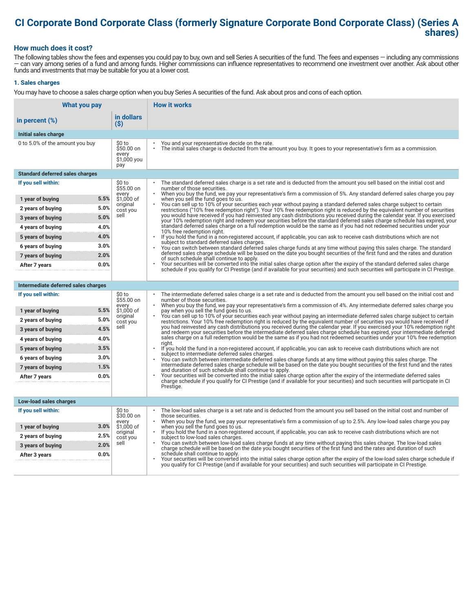## **CI Corporate Bond Corporate Class (formerly Signature Corporate Bond Corporate Class) (Series A shares)**

#### **How much does it cost?**

The following tables show the fees and expenses you could pay to buy, own and sell Series A securities of the fund. The fees and expenses — including any commissions — can vary among series of a fund and among funds. Higher commissions can influence representatives to recommend one investment over another. Ask about other funds and investments that may be suitable for you at a lower cost.

#### **1. Sales charges**

You may have to choose a sales charge option when you buy Series A securities of the fund. Ask about pros and cons of each option.

| What you pay                           |                                                     | <b>How it works</b>                                                                                                                                                                                                                                                                                                                                                                                                                                                                                                                                                                         |
|----------------------------------------|-----------------------------------------------------|---------------------------------------------------------------------------------------------------------------------------------------------------------------------------------------------------------------------------------------------------------------------------------------------------------------------------------------------------------------------------------------------------------------------------------------------------------------------------------------------------------------------------------------------------------------------------------------------|
| in percent (%)                         | in dollars<br>$($ \$)                               |                                                                                                                                                                                                                                                                                                                                                                                                                                                                                                                                                                                             |
| Initial sales charge                   |                                                     |                                                                                                                                                                                                                                                                                                                                                                                                                                                                                                                                                                                             |
| 0 to 5.0% of the amount you buy        | \$0 to<br>\$50.00 on<br>every<br>\$1,000 you<br>pay | You and your representative decide on the rate.<br>The initial sales charge is deducted from the amount you buy. It goes to your representative's firm as a commission.                                                                                                                                                                                                                                                                                                                                                                                                                     |
| <b>Standard deferred sales charges</b> |                                                     |                                                                                                                                                                                                                                                                                                                                                                                                                                                                                                                                                                                             |
| If you sell within:                    | \$0 to<br>\$55.00 on                                | The standard deferred sales charge is a set rate and is deducted from the amount you sell based on the initial cost and<br>number of those securities.                                                                                                                                                                                                                                                                                                                                                                                                                                      |
| 5.5%<br>1 year of buying               | every<br>\$1,000 of                                 | When you buy the fund, we pay your representative's firm a commission of 5%. Any standard deferred sales charge you pay<br>when you sell the fund goes to us.                                                                                                                                                                                                                                                                                                                                                                                                                               |
| 5.0%<br>2 years of buying              | original<br>cost you                                | You can sell up to 10% of your securities each year without paying a standard deferred sales charge subject to certain<br>restrictions ("10% free redemption right"). Your 10% free redemption right is reduced by the equivalent number of securities                                                                                                                                                                                                                                                                                                                                      |
| 5.0%<br>3 years of buying              | sell                                                | you would have received if you had reinvested any cash distributions you received during the calendar year. If you exercised<br>your 10% redemption right and redeem your securities before the standard deferred sales charge schedule has expired, your                                                                                                                                                                                                                                                                                                                                   |
| 4.0%<br>4 years of buying              |                                                     | standard deferred sales charge on a full redemption would be the same as if you had not redeemed securities under your<br>10% free redemption right.                                                                                                                                                                                                                                                                                                                                                                                                                                        |
| 4.0%<br>5 years of buying              |                                                     | If you hold the fund in a non-registered account, if applicable, you can ask to receive cash distributions which are not<br>$\ddot{\phantom{0}}$<br>subject to standard deferred sales charges.                                                                                                                                                                                                                                                                                                                                                                                             |
| 3.0%<br>6 years of buying              |                                                     | You can switch between standard deferred sales charge funds at any time without paying this sales charge. The standard                                                                                                                                                                                                                                                                                                                                                                                                                                                                      |
| 2.0%<br>7 years of buying              |                                                     | deferred sales charge schedule will be based on the date you bought securities of the first fund and the rates and duration<br>of such schedule shall continue to apply.                                                                                                                                                                                                                                                                                                                                                                                                                    |
| 0.0%<br>After 7 years                  |                                                     | Your securities will be converted into the initial sales charge option after the expiry of the standard deferred sales charge<br>schedule if you qualify for CI Prestige (and if available for your securities) and such securities will participate in CI Prestige.                                                                                                                                                                                                                                                                                                                        |
|                                        |                                                     |                                                                                                                                                                                                                                                                                                                                                                                                                                                                                                                                                                                             |
| Intermediate deferred sales charges    |                                                     |                                                                                                                                                                                                                                                                                                                                                                                                                                                                                                                                                                                             |
| If you sell within:                    | \$0 to<br>\$55.00 on<br>every                       | The intermediate deferred sales charge is a set rate and is deducted from the amount you sell based on the initial cost and<br>number of those securities.<br>When you buy the fund, we pay your representative's firm a commission of 4%. Any intermediate deferred sales charge you<br>pay when you sell the fund goes to us.<br>You can sell up to 10% of your securities each year without paying an intermediate deferred sales charge subject to certain<br>restrictions. Your 10% free redemption right is reduced by the equivalent number of securities you would have received if |
| 5.5%<br>1 year of buying               | \$1,000 of<br>original                              |                                                                                                                                                                                                                                                                                                                                                                                                                                                                                                                                                                                             |
| 5.0%<br>2 years of buying              | cost you                                            |                                                                                                                                                                                                                                                                                                                                                                                                                                                                                                                                                                                             |
| 4.5%<br>3 years of buying              | sell                                                | you had reinvested any cash distributions you received during the calendar year. If you exercised your 10% redemption right<br>and redeem your securities before the intermediate deferred sales charge schedule has expired, your intermediate deferred                                                                                                                                                                                                                                                                                                                                    |
| 4.0%<br>4 years of buying              |                                                     | sales charge on a full redemption would be the same as if you had not redeemed securities under your 10% free redemption<br>right.                                                                                                                                                                                                                                                                                                                                                                                                                                                          |
| 3.5%<br>5 years of buying              |                                                     | If you hold the fund in a non-registered account, if applicable, you can ask to receive cash distributions which are not<br>subject to intermediate deferred sales charges.                                                                                                                                                                                                                                                                                                                                                                                                                 |
| 3.0%<br>6 years of buying              |                                                     | You can switch between intermediate deferred sales charge funds at any time without paying this sales charge. The<br>intermediate deferred sales charge schedule will be based on the date you bought securities of the first fund and the rates                                                                                                                                                                                                                                                                                                                                            |
| 1.5%<br>7 years of buying              |                                                     | and duration of such schedule shall continue to apply.                                                                                                                                                                                                                                                                                                                                                                                                                                                                                                                                      |
| 0.0%<br>After 7 years                  |                                                     | Your securities will be converted into the initial sales charge option after the expiry of the intermediate deferred sales<br>charge schedule if you qualify for CI Prestige (and if available for your securities) and such securities will participate in CI                                                                                                                                                                                                                                                                                                                              |
|                                        |                                                     | Prestige.                                                                                                                                                                                                                                                                                                                                                                                                                                                                                                                                                                                   |
| Low-load sales charges                 |                                                     |                                                                                                                                                                                                                                                                                                                                                                                                                                                                                                                                                                                             |
| If you sell within:                    | \$0 to<br>\$30.00 on                                | The low-load sales charge is a set rate and is deducted from the amount you sell based on the initial cost and number of<br>those securities.                                                                                                                                                                                                                                                                                                                                                                                                                                               |
| 3.0%<br>1 year of buying               | every<br>\$1,000 of                                 | When you buy the fund, we pay your representative's firm a commission of up to 2.5%. Any low-load sales charge you pay<br>when you sell the fund goes to us.                                                                                                                                                                                                                                                                                                                                                                                                                                |
| 2.5%<br>2 years of buying              | original<br>cost you                                | $\bullet$<br>If you hold the fund in a non-registered account, if applicable, you can ask to receive cash distributions which are not<br>subject to low-load sales charges.                                                                                                                                                                                                                                                                                                                                                                                                                 |
| 2.0%<br>3 years of buying              | sell                                                | You can switch between low-load sales charge funds at any time without paying this sales charge. The low-load sales<br>charge schedule will be based on the date you bought securities of the first fund and the rates and duration of such                                                                                                                                                                                                                                                                                                                                                 |
| 0.0%<br>After 3 years                  |                                                     | schedule shall continue to apply.<br>Your securities will be converted into the initial sales charge option after the expiry of the low-load sales charge schedule if                                                                                                                                                                                                                                                                                                                                                                                                                       |
|                                        |                                                     | you qualify for CI Prestige (and if available for your securities) and such securities will participate in CI Prestige.                                                                                                                                                                                                                                                                                                                                                                                                                                                                     |